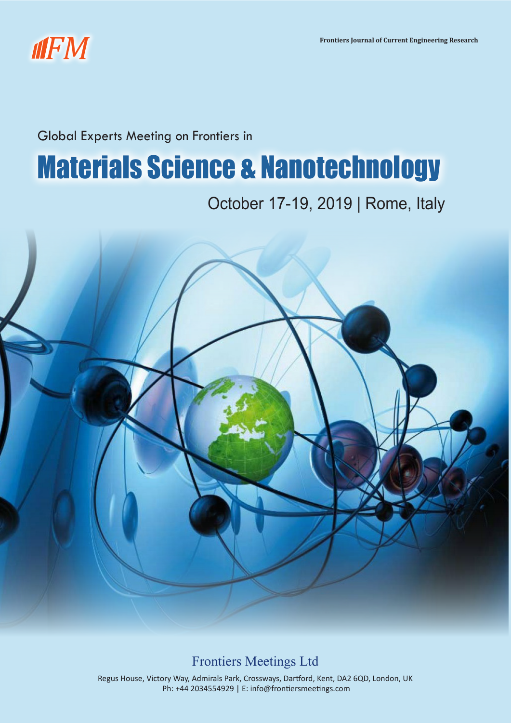

Global Experts Meeting on Frontiers in

## Materials Science & Nanotechnology

October 17-19, 2019 | Rome, Italy



#### Frontiers Meetings Ltd

Regus House, Victory Way, Admirals Park, Crossways, Dartford, Kent, DA2 6QD, London, UK Ph: +44 2034554929 | E: info@frontiersmeetings.com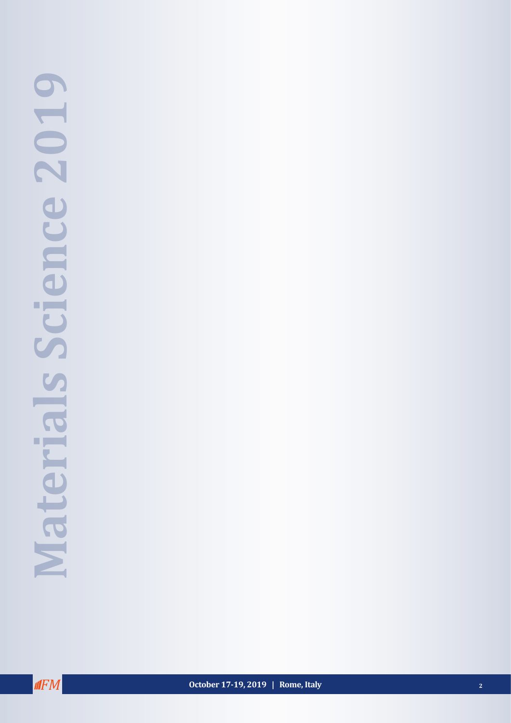# 19 **Materials Science 2019**  $\bullet$ cience 2  $\bullet$ arials Mate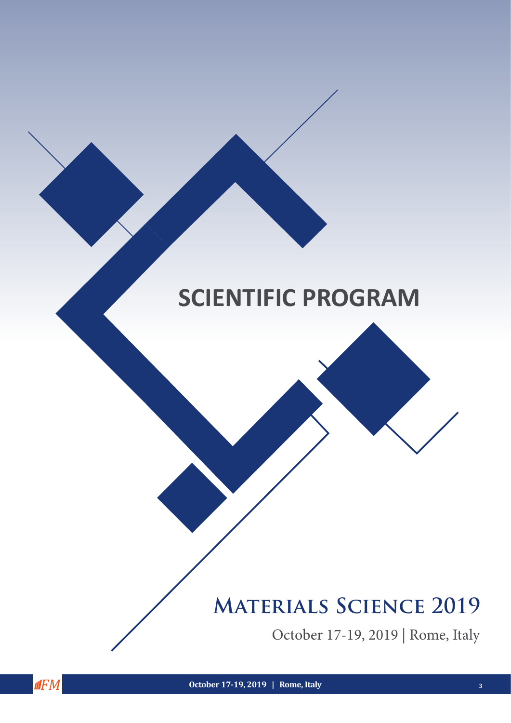### **SCIENTIFIC PROGRAM**

### **Materials Science 2019**

October 17-19, 2019 | Rome, Italy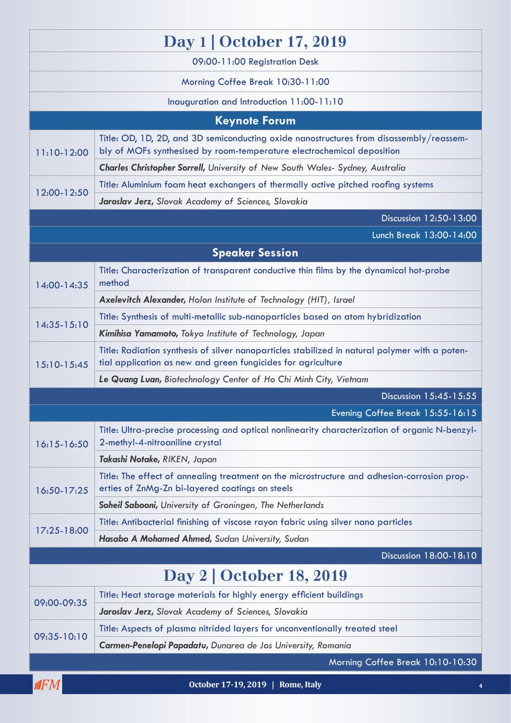| Day 1   October 17, 2019                  |                                                                                                                                                                   |  |
|-------------------------------------------|-------------------------------------------------------------------------------------------------------------------------------------------------------------------|--|
| 09:00-11:00 Registration Desk             |                                                                                                                                                                   |  |
|                                           |                                                                                                                                                                   |  |
|                                           | Morning Coffee Break 10:30-11:00                                                                                                                                  |  |
| Inauguration and Introduction 11:00-11:10 |                                                                                                                                                                   |  |
| <b>Keynote Forum</b>                      |                                                                                                                                                                   |  |
| $11:10-12:00$                             | Title: OD, 1D, 2D, and 3D semiconducting oxide nanostructures from disassembly/reassem-<br>bly of MOFs synthesised by room-temperature electrochemical deposition |  |
|                                           | Charles Christopher Sorrell, University of New South Wales- Sydney, Australia                                                                                     |  |
| 12:00-12:50                               | Title: Aluminium foam heat exchangers of thermally active pitched roofing systems                                                                                 |  |
|                                           | Jaroslav Jerz, Slovak Academy of Sciences, Slovakia                                                                                                               |  |
|                                           | Discussion 12:50-13:00                                                                                                                                            |  |
|                                           | Lunch Break 13:00-14:00                                                                                                                                           |  |
| <b>Speaker Session</b>                    |                                                                                                                                                                   |  |
| 14:00-14:35                               | Title: Characterization of transparent conductive thin films by the dynamical hot-probe<br>method                                                                 |  |
|                                           | Axelevitch Alexander, Holon Institute of Technology (HIT), Israel                                                                                                 |  |
|                                           | Title: Synthesis of multi-metallic sub-nanoparticles based on atom hybridization                                                                                  |  |
| $14:35-15:10$                             | Kimihisa Yamamoto, Tokyo Institute of Technology, Japan                                                                                                           |  |
| 15:10-15:45                               | Title: Radiation synthesis of silver nanoparticles stabilized in natural polymer with a poten-<br>tial application as new and green fungicides for agriculture    |  |
|                                           | Le Quang Luan, Biotechnology Center of Ho Chi Minh City, Vietnam                                                                                                  |  |
|                                           | Discussion 15:45-15:55                                                                                                                                            |  |
|                                           | Evening Coffee Break 15:55-16:15                                                                                                                                  |  |
| 16:15-16:50                               | Title: Ultra-precise processing and optical nonlinearity characterization of organic N-benzyl-<br>2-methyl-4-nitroaniline crystal                                 |  |
|                                           | Takashi Notake, RIKEN, Japan                                                                                                                                      |  |
| 16:50-17:25                               | Title: The effect of annealing treatment on the microstructure and adhesion-corrosion prop-<br>erties of ZnMg-Zn bi-layered coatings on steels                    |  |
|                                           | Soheil Sabooni, University of Groningen, The Netherlands                                                                                                          |  |
| 17:25-18:00                               | Title: Antibacterial finishing of viscose rayon fabric using silver nano particles                                                                                |  |
|                                           | Hasabo A Mohamed Ahmed, Sudan University, Sudan                                                                                                                   |  |
|                                           | Discussion 18:00-18:10                                                                                                                                            |  |
| <b>Day 2   October 18, 2019</b>           |                                                                                                                                                                   |  |
| 09:00-09:35                               | Title: Heat storage materials for highly energy efficient buildings                                                                                               |  |
|                                           | Jaroslav Jerz, Slovak Academy of Sciences, Slovakia                                                                                                               |  |
| 09:35-10:10                               | Title: Aspects of plasma nitrided layers for unconventionally treated steel                                                                                       |  |
|                                           | Carmen-Penelopi Papadatu, Dunarea de Jos University, Romania                                                                                                      |  |
|                                           | Morning Coffee Break 10:10-10:30                                                                                                                                  |  |